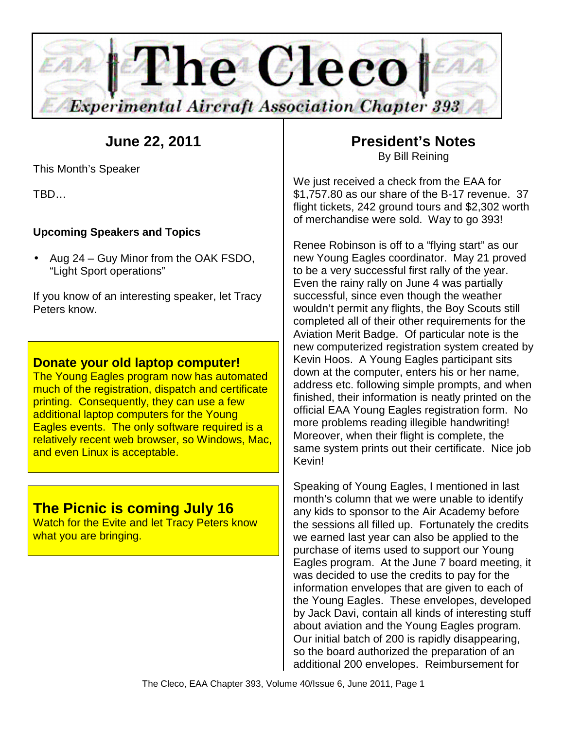

# **June 22, 2011**

This Month's Speaker

TBD…

## **Upcoming Speakers and Topics**

• Aug 24 – Guy Minor from the OAK FSDO, "Light Sport operations"

If you know of an interesting speaker, let Tracy Peters know.

## **Donate your old laptop computer!**

The Young Eagles program now has automated much of the registration, dispatch and certificate printing. Consequently, they can use a few additional laptop computers for the Young Eagles events. The only software required is a relatively recent web browser, so Windows, Mac, and even Linux is acceptable.

## **The Picnic is coming July 16**

Watch for the Evite and let Tracy Peters know what you are bringing.

## **President's Notes**  By Bill Reining

We just received a check from the EAA for \$1,757.80 as our share of the B-17 revenue. 37 flight tickets, 242 ground tours and \$2,302 worth of merchandise were sold. Way to go 393!

Renee Robinson is off to a "flying start" as our new Young Eagles coordinator. May 21 proved to be a very successful first rally of the year. Even the rainy rally on June 4 was partially successful, since even though the weather wouldn't permit any flights, the Boy Scouts still completed all of their other requirements for the Aviation Merit Badge. Of particular note is the new computerized registration system created by Kevin Hoos. A Young Eagles participant sits down at the computer, enters his or her name, address etc. following simple prompts, and when finished, their information is neatly printed on the official EAA Young Eagles registration form. No more problems reading illegible handwriting! Moreover, when their flight is complete, the same system prints out their certificate. Nice job Kevin!

Speaking of Young Eagles, I mentioned in last month's column that we were unable to identify any kids to sponsor to the Air Academy before the sessions all filled up. Fortunately the credits we earned last year can also be applied to the purchase of items used to support our Young Eagles program. At the June 7 board meeting, it was decided to use the credits to pay for the information envelopes that are given to each of the Young Eagles. These envelopes, developed by Jack Davi, contain all kinds of interesting stuff about aviation and the Young Eagles program. Our initial batch of 200 is rapidly disappearing, so the board authorized the preparation of an additional 200 envelopes. Reimbursement for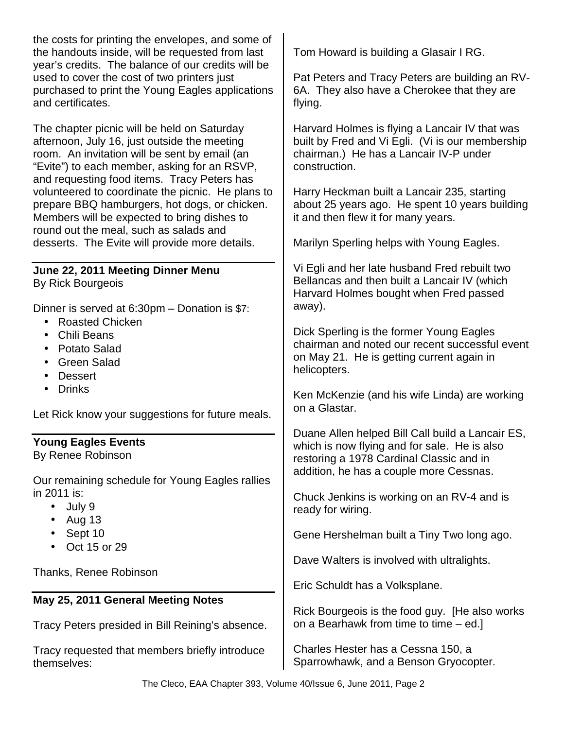the costs for printing the envelopes, and some of the handouts inside, will be requested from last year's credits. The balance of our credits will be used to cover the cost of two printers just purchased to print the Young Eagles applications and certificates.

The chapter picnic will be held on Saturday afternoon, July 16, just outside the meeting room. An invitation will be sent by email (an "Evite") to each member, asking for an RSVP, and requesting food items. Tracy Peters has volunteered to coordinate the picnic. He plans to prepare BBQ hamburgers, hot dogs, or chicken. Members will be expected to bring dishes to round out the meal, such as salads and desserts. The Evite will provide more details.

#### **June 22, 2011 Meeting Dinner Menu**  By Rick Bourgeois

Dinner is served at 6:30pm – Donation is \$7:

- Roasted Chicken
- Chili Beans
- Potato Salad
- Green Salad
- Dessert
- Drinks

Let Rick know your suggestions for future meals.

### **Young Eagles Events**

By Renee Robinson

Our remaining schedule for Young Eagles rallies in 2011 is:

- July 9
- Aug  $13$
- Sept 10
- Oct 15 or 29

Thanks, Renee Robinson

### **May 25, 2011 General Meeting Notes**

Tracy Peters presided in Bill Reining's absence.

Tracy requested that members briefly introduce themselves:

Tom Howard is building a Glasair I RG.

Pat Peters and Tracy Peters are building an RV-6A. They also have a Cherokee that they are flying.

Harvard Holmes is flying a Lancair IV that was built by Fred and Vi Egli. (Vi is our membership chairman.) He has a Lancair IV-P under construction.

Harry Heckman built a Lancair 235, starting about 25 years ago. He spent 10 years building it and then flew it for many years.

Marilyn Sperling helps with Young Eagles.

Vi Egli and her late husband Fred rebuilt two Bellancas and then built a Lancair IV (which Harvard Holmes bought when Fred passed away).

Dick Sperling is the former Young Eagles chairman and noted our recent successful event on May 21. He is getting current again in helicopters.

Ken McKenzie (and his wife Linda) are working on a Glastar.

Duane Allen helped Bill Call build a Lancair ES, which is now flying and for sale. He is also restoring a 1978 Cardinal Classic and in addition, he has a couple more Cessnas.

Chuck Jenkins is working on an RV-4 and is ready for wiring.

Gene Hershelman built a Tiny Two long ago.

Dave Walters is involved with ultralights.

Eric Schuldt has a Volksplane.

Rick Bourgeois is the food guy. [He also works on a Bearhawk from time to time – ed.]

Charles Hester has a Cessna 150, a Sparrowhawk, and a Benson Gryocopter.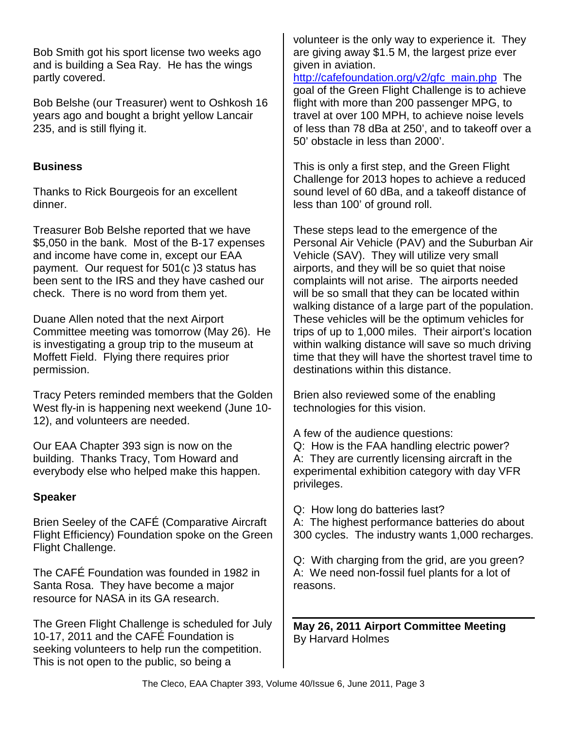Bob Smith got his sport license two weeks ago and is building a Sea Ray. He has the wings partly covered.

Bob Belshe (our Treasurer) went to Oshkosh 16 years ago and bought a bright yellow Lancair 235, and is still flying it.

## **Business**

Thanks to Rick Bourgeois for an excellent dinner.

Treasurer Bob Belshe reported that we have \$5,050 in the bank. Most of the B-17 expenses and income have come in, except our EAA payment. Our request for 501(c )3 status has been sent to the IRS and they have cashed our check. There is no word from them yet.

Duane Allen noted that the next Airport Committee meeting was tomorrow (May 26). He is investigating a group trip to the museum at Moffett Field. Flying there requires prior permission.

Tracy Peters reminded members that the Golden West fly-in is happening next weekend (June 10- 12), and volunteers are needed.

Our EAA Chapter 393 sign is now on the building. Thanks Tracy, Tom Howard and everybody else who helped make this happen.

### **Speaker**

Brien Seeley of the CAFÉ (Comparative Aircraft Flight Efficiency) Foundation spoke on the Green Flight Challenge.

The CAFÉ Foundation was founded in 1982 in Santa Rosa. They have become a major resource for NASA in its GA research.

The Green Flight Challenge is scheduled for July 10-17, 2011 and the CAFÉ Foundation is seeking volunteers to help run the competition. This is not open to the public, so being a

volunteer is the only way to experience it. They are giving away \$1.5 M, the largest prize ever given in aviation.

http://cafefoundation.org/v2/gfc\_main.php The goal of the Green Flight Challenge is to achieve flight with more than 200 passenger MPG, to travel at over 100 MPH, to achieve noise levels of less than 78 dBa at 250', and to takeoff over a 50' obstacle in less than 2000'.

This is only a first step, and the Green Flight Challenge for 2013 hopes to achieve a reduced sound level of 60 dBa, and a takeoff distance of less than 100' of ground roll.

These steps lead to the emergence of the Personal Air Vehicle (PAV) and the Suburban Air Vehicle (SAV). They will utilize very small airports, and they will be so quiet that noise complaints will not arise. The airports needed will be so small that they can be located within walking distance of a large part of the population. These vehicles will be the optimum vehicles for trips of up to 1,000 miles. Their airport's location within walking distance will save so much driving time that they will have the shortest travel time to destinations within this distance.

Brien also reviewed some of the enabling technologies for this vision.

A few of the audience questions:

Q: How is the FAA handling electric power? A: They are currently licensing aircraft in the experimental exhibition category with day VFR privileges.

Q: How long do batteries last? A: The highest performance batteries do about 300 cycles. The industry wants 1,000 recharges.

Q: With charging from the grid, are you green? A: We need non-fossil fuel plants for a lot of reasons.

**May 26, 2011 Airport Committee Meeting**  By Harvard Holmes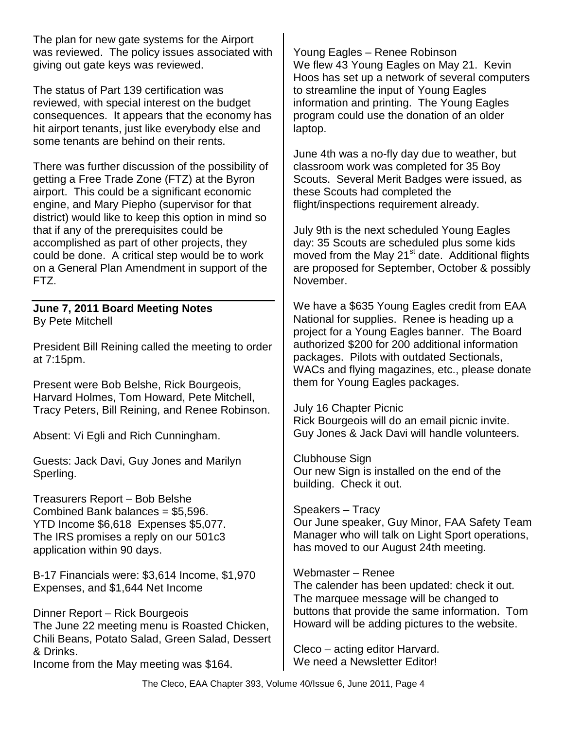The plan for new gate systems for the Airport was reviewed. The policy issues associated with giving out gate keys was reviewed.

The status of Part 139 certification was reviewed, with special interest on the budget consequences. It appears that the economy has hit airport tenants, just like everybody else and some tenants are behind on their rents.

There was further discussion of the possibility of getting a Free Trade Zone (FTZ) at the Byron airport. This could be a significant economic engine, and Mary Piepho (supervisor for that district) would like to keep this option in mind so that if any of the prerequisites could be accomplished as part of other projects, they could be done. A critical step would be to work on a General Plan Amendment in support of the FTZ.

#### **June 7, 2011 Board Meeting Notes**  By Pete Mitchell

President Bill Reining called the meeting to order at 7:15pm.

Present were Bob Belshe, Rick Bourgeois, Harvard Holmes, Tom Howard, Pete Mitchell, Tracy Peters, Bill Reining, and Renee Robinson.

Absent: Vi Egli and Rich Cunningham.

Guests: Jack Davi, Guy Jones and Marilyn Sperling.

Treasurers Report – Bob Belshe Combined Bank balances = \$5,596. YTD Income \$6,618 Expenses \$5,077. The IRS promises a reply on our 501c3 application within 90 days.

B-17 Financials were: \$3,614 Income, \$1,970 Expenses, and \$1,644 Net Income

Dinner Report – Rick Bourgeois The June 22 meeting menu is Roasted Chicken, Chili Beans, Potato Salad, Green Salad, Dessert & Drinks. Income from the May meeting was \$164.

Young Eagles – Renee Robinson We flew 43 Young Eagles on May 21. Kevin Hoos has set up a network of several computers to streamline the input of Young Eagles information and printing. The Young Eagles program could use the donation of an older laptop.

June 4th was a no-fly day due to weather, but classroom work was completed for 35 Boy Scouts. Several Merit Badges were issued, as these Scouts had completed the flight/inspections requirement already.

July 9th is the next scheduled Young Eagles day: 35 Scouts are scheduled plus some kids moved from the May 21<sup>st</sup> date. Additional flights are proposed for September, October & possibly November.

We have a \$635 Young Eagles credit from EAA National for supplies. Renee is heading up a project for a Young Eagles banner. The Board authorized \$200 for 200 additional information packages. Pilots with outdated Sectionals, WACs and flying magazines, etc., please donate them for Young Eagles packages.

July 16 Chapter Picnic Rick Bourgeois will do an email picnic invite. Guy Jones & Jack Davi will handle volunteers.

Clubhouse Sign Our new Sign is installed on the end of the building. Check it out.

Speakers – Tracy Our June speaker, Guy Minor, FAA Safety Team Manager who will talk on Light Sport operations, has moved to our August 24th meeting.

Webmaster – Renee

The calender has been updated: check it out. The marquee message will be changed to buttons that provide the same information. Tom Howard will be adding pictures to the website.

Cleco – acting editor Harvard. We need a Newsletter Editor!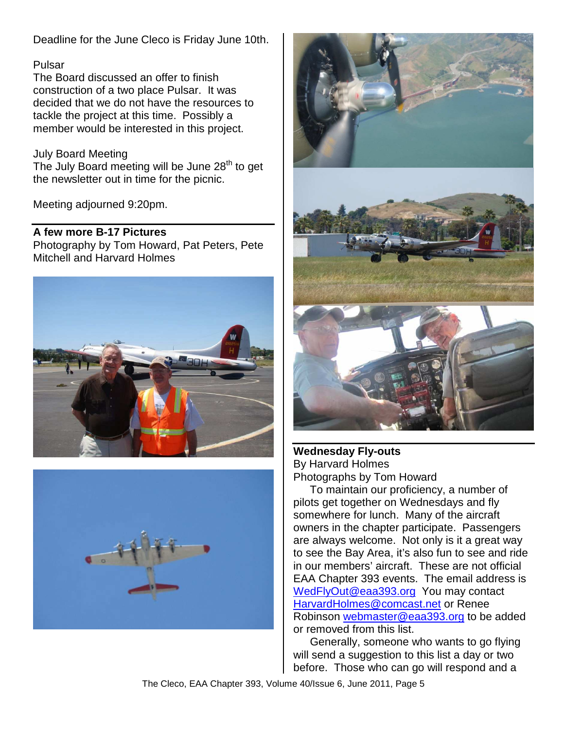Deadline for the June Cleco is Friday June 10th.

#### Pulsar

The Board discussed an offer to finish construction of a two place Pulsar. It was decided that we do not have the resources to tackle the project at this time. Possibly a member would be interested in this project.

#### July Board Meeting

The July Board meeting will be June 28<sup>th</sup> to get the newsletter out in time for the picnic.

Meeting adjourned 9:20pm.

#### **A few more B-17 Pictures**

Photography by Tom Howard, Pat Peters, Pete Mitchell and Harvard Holmes







#### **Wednesday Fly-outs**  By Harvard Holmes Photographs by Tom Howard

To maintain our proficiency, a number of pilots get together on Wednesdays and fly somewhere for lunch. Many of the aircraft owners in the chapter participate. Passengers are always welcome. Not only is it a great way to see the Bay Area, it's also fun to see and ride in our members' aircraft. These are not official EAA Chapter 393 events. The email address is WedFlyOut@eaa393.org You may contact HarvardHolmes@comcast.net or Renee Robinson webmaster@eaa393.org to be added or removed from this list.

Generally, someone who wants to go flying will send a suggestion to this list a day or two before. Those who can go will respond and a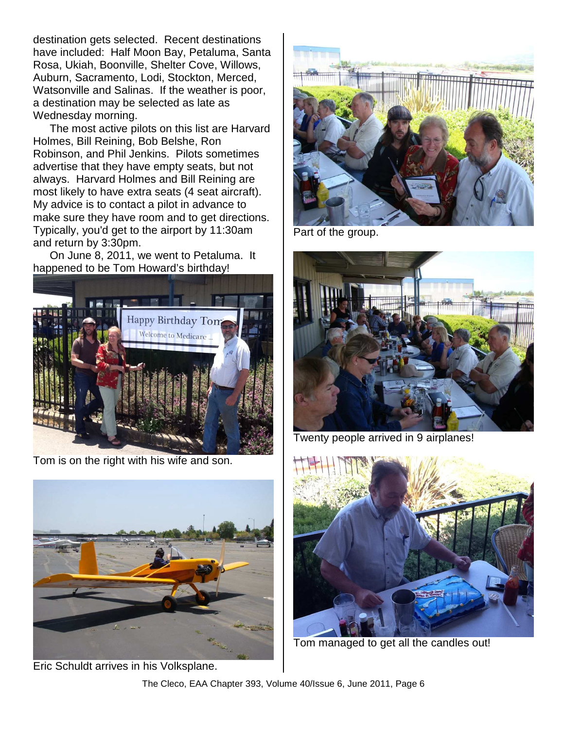destination gets selected. Recent destinations have included: Half Moon Bay, Petaluma, Santa Rosa, Ukiah, Boonville, Shelter Cove, Willows, Auburn, Sacramento, Lodi, Stockton, Merced, Watsonville and Salinas. If the weather is poor, a destination may be selected as late as Wednesday morning.

The most active pilots on this list are Harvard Holmes, Bill Reining, Bob Belshe, Ron Robinson, and Phil Jenkins. Pilots sometimes advertise that they have empty seats, but not always. Harvard Holmes and Bill Reining are most likely to have extra seats (4 seat aircraft). My advice is to contact a pilot in advance to make sure they have room and to get directions. Typically, you'd get to the airport by 11:30am and return by 3:30pm.

On June 8, 2011, we went to Petaluma. It happened to be Tom Howard's birthday!



Tom is on the right with his wife and son.



Eric Schuldt arrives in his Volksplane.



Part of the group.



Twenty people arrived in 9 airplanes!



Tom managed to get all the candles out!

The Cleco, EAA Chapter 393, Volume 40/Issue 6, June 2011, Page 6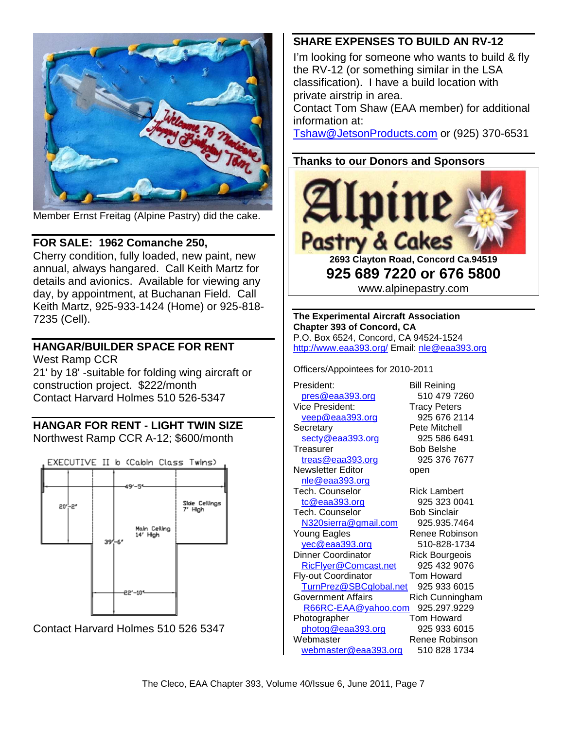

Member Ernst Freitag (Alpine Pastry) did the cake.

### **FOR SALE: 1962 Comanche 250,**

Cherry condition, fully loaded, new paint, new annual, always hangared. Call Keith Martz for details and avionics. Available for viewing any day, by appointment, at Buchanan Field. Call Keith Martz, 925-933-1424 (Home) or 925-818- 7235 (Cell).

## **HANGAR/BUILDER SPACE FOR RENT**

West Ramp CCR

21' by 18' -suitable for folding wing aircraft or construction project. \$222/month Contact Harvard Holmes 510 526-5347

### **HANGAR FOR RENT - LIGHT TWIN SIZE**  Northwest Ramp CCR A-12; \$600/month



Contact Harvard Holmes 510 526 5347

-22'-10\*

## **SHARE EXPENSES TO BUILD AN RV-12**

I'm looking for someone who wants to build & fly the RV-12 (or something similar in the LSA classification). I have a build location with private airstrip in area.

Contact Tom Shaw (EAA member) for additional information at:

Tshaw@JetsonProducts.com or (925) 370-6531

## **Thanks to our Donors and Sponsors**



**925 689 7220 or 676 5800**  www.alpinepastry.com

**The Experimental Aircraft Association Chapter 393 of Concord, CA**  P.O. Box 6524, Concord, CA 94524-1524 http://www.eaa393.org/ Email: nle@eaa393.org

Officers/Appointees for 2010-2011

President: Bill Reining pres@eaa393.org 510 479 7260 Vice President: Tracy Peters veep@eaa393.org 925 676 2114 Secretary **Pete Mitchell** secty@eaa393.org 925 586 6491 Treasurer Bob Belshe treas@eaa393.org 925 376 7677 Newsletter Editor open nle@eaa393.org Tech. Counselor **Rick Lambert** tc@eaa393.org 925 323 0041 Tech. Counselor Bob Sinclair N320sierra@gmail.com 925.935.7464 Young Eagles Renee Robinson yec@eaa393.org 510-828-1734 Dinner Coordinator **Rick Bourgeois** RicFlyer@Comcast.net 925 432 9076 Fly-out Coordinator Tom Howard TurnPrez@SBCglobal.net 925 933 6015 Government Affairs **Rich Cunningham**  R66RC-EAA@yahoo.com 925.297.9229 Photographer Tom Howard photog@eaa393.org 925 933 6015 Webmaster **Renee Robinson** webmaster@eaa393.org 510 828 1734